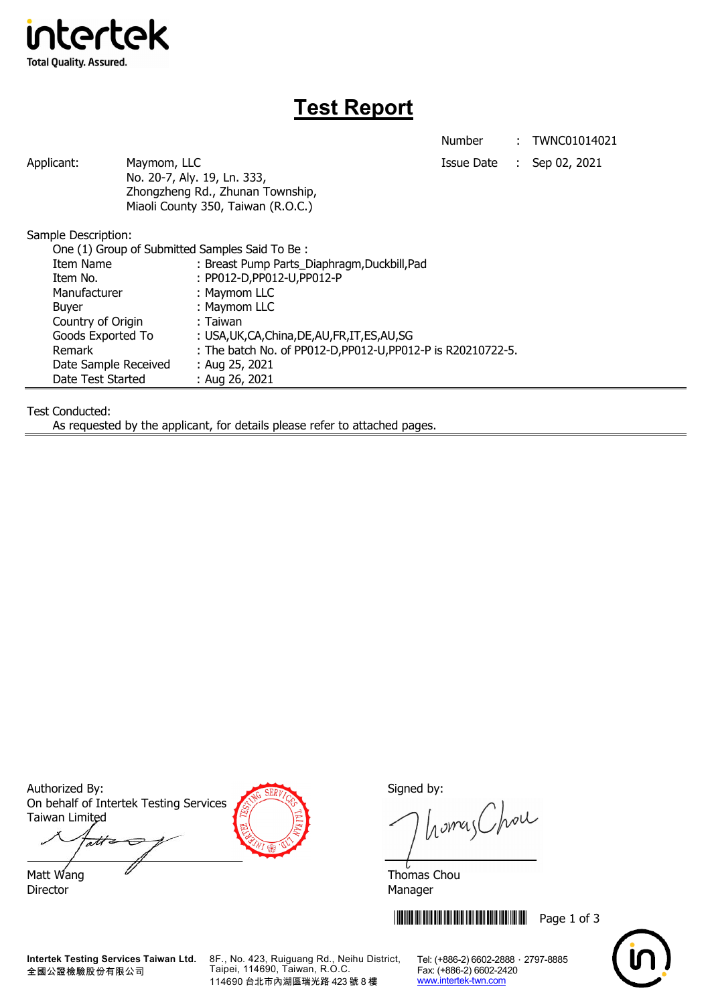

# **Test Report**

Number : TWNC01014021

Applicant: Maymom, LLC Maymon, ILC Applicant: Sep 02, 2021 No. 20-7, Aly. 19, Ln. 333, Zhongzheng Rd., Zhunan Township, Miaoli County 350, Taiwan (R.O.C.)

Sample Description:

| One (1) Group of Submitted Samples Said To Be: |                                                              |
|------------------------------------------------|--------------------------------------------------------------|
| Item Name                                      | : Breast Pump Parts_Diaphragm,Duckbill,Pad                   |
| Item No.                                       | : PP012-D, PP012-U, PP012-P                                  |
| Manufacturer                                   | : Maymom LLC                                                 |
| <b>Buyer</b>                                   | : Maymom LLC                                                 |
| Country of Origin                              | : Taiwan                                                     |
| Goods Exported To                              | : USA, UK, CA, China, DE, AU, FR, IT, ES, AU, SG             |
| Remark                                         | : The batch No. of PP012-D, PP012-U, PP012-P is R20210722-5. |
| Date Sample Received                           | : Aug 25, 2021                                               |
| Date Test Started                              | : Aug 26, 2021                                               |

Test Conducted:

As requested by the applicant, for details please refer to attached pages.

Authorized By: Signed by: Signed by: On behalf of Intertek Testing Services Taiwan Limited

att

Director Manager

homas Chou

Matt Wang  $\overline{a}$  Matt Wang  $\overline{a}$ 

**THEFT IN THE THEFT IN THE THEFT IN THE THEFT Page 1 of 3** 



**Intertek Testing Services Taiwan Ltd.** 全國公證檢驗股份有限公司

8F., No. 423, Ruiguang Rd., Neihu District, Taipei, 114690, Taiwan, R.O.C. 114690 台北市內湖區瑞光路 423 號 8 樓

Tel: (+886-2) 6602-2888 · 2797-8885 Fax: (+886-2) 6602-2420 www.intertek-twn.com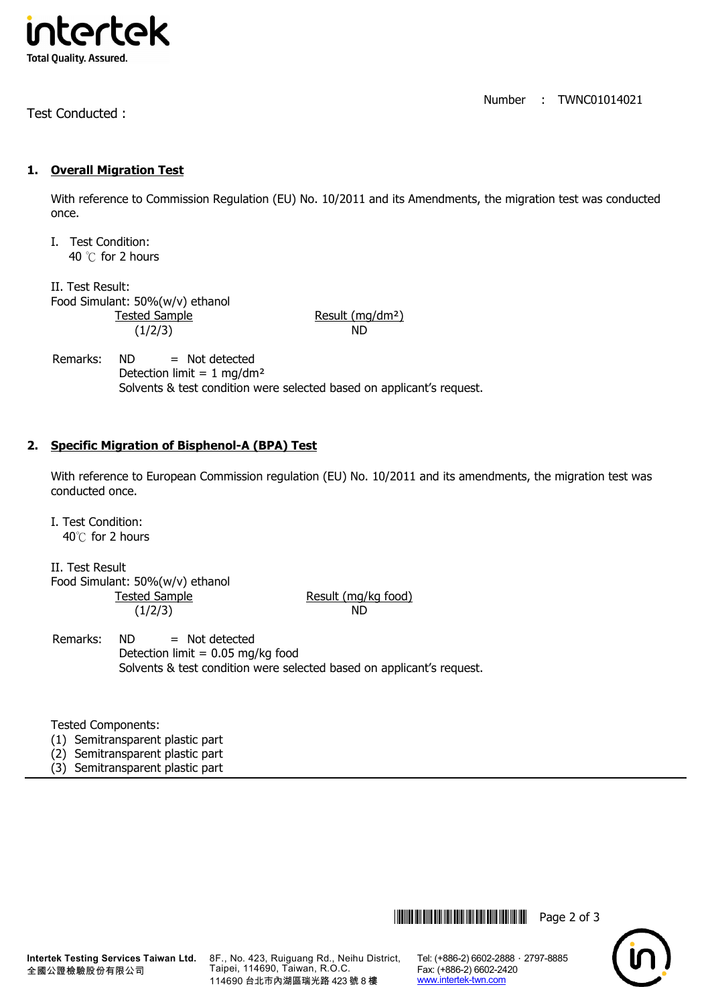

Test Conducted :

#### Number : TWNC01014021

### **1. Overall Migration Test**

With reference to Commission Regulation (EU) No. 10/2011 and its Amendments, the migration test was conducted once.

I. Test Condition: 40 ℃ for 2 hours

II. Test Result: Food Simulant: 50%(w/v) ethanol Tested Sample Result (mg/dm<sup>2</sup>) (1/2/3) ND

### Remarks:  $ND$  = Not detected Detection limit =  $1 \text{ mg/dm}^2$ Solvents & test condition were selected based on applicant's request.

## **2. Specific Migration of Bisphenol-A (BPA) Test**

With reference to European Commission regulation (EU) No. 10/2011 and its amendments, the migration test was conducted once.

I. Test Condition: 40℃ for 2 hours

II. Test Result Food Simulant: 50%(w/v) ethanol Tested Sample Result (mg/kg food) (1/2/3) ND

Remarks: ND = Not detected Detection limit =  $0.05$  mg/kg food Solvents & test condition were selected based on applicant's request.

Tested Components:

- (1) Semitransparent plastic part
- (2) Semitransparent plastic part
- (3) Semitransparent plastic part

**Intertek Testing Services Taiwan Ltd.** 全國公證檢驗股份有限公司

8F., No. 423, Ruiguang Rd., Neihu District, Taipei, 114690, Taiwan, R.O.C. 114690 台北市內湖區瑞光路 423 號 8 樓

Tel: (+886-2) 6602-2888 · 2797-8885 Fax: (+886-2) 6602-2420 www.intertek-twn.com

**THEFT THEFT THEFT THEFT THE THEFT THEFT THEFT THEFT THEFT THEFT THEFT THEFT THEFT THEFT THEFT THEFT THEFT THEFT**